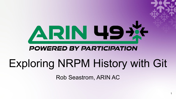# ARN 49X

#### **POWERED BY PARTICIPATION**

# Exploring NRPM History with Git

Rob Seastrom, ARIN AC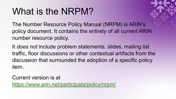#### What is the NRPM?

The Number Resource Policy Manual (NRPM) is ARIN's policy document. It contains the entirety of all current ARIN number resource policy.

It *does not* include problem statements, slides, mailing list traffic, floor discussions or other contextual artifacts from the discussion that surrounded the adoption of a specific policy item.

Current version is at <https://www.arin.net/participate/policy/nrpm/>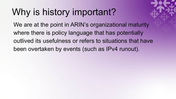#### Why is history important?

We are at the point in ARIN's organizational maturity where there is policy language that has potentially outlived its usefulness or refers to situations that have been overtaken by events (such as IPv4 runout).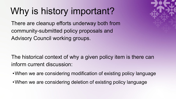## Why is history important?

There are cleanup efforts underway both from community-submitted policy proposals and Advisory Council working groups.

The historical context of why a given policy item is there can inform current discussion:

- •When we are considering modification of existing policy language
- •When we are considering deletion of existing policy language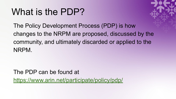#### What is the PDP?

The Policy Development Process (PDP) is how changes to the NRPM are proposed, discussed by the community, and ultimately discarded or applied to the NRPM.

The PDP can be found at <https://www.arin.net/participate/policy/pdp/>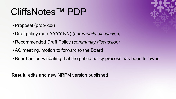#### CliffsNotes™ PDP

- •Proposal (prop-xxx)
- •Draft policy (arin-YYYY-NN) (*community discussion)*
- •Recommended Draft Policy (*community discussion)*
- •AC meeting, motion to forward to the Board
- •Board action validating that the public policy process has been followed

**Result**: edits and new NRPM version published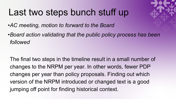#### Last two steps bunch stuff up

*•AC meeting, motion to forward to the Board*

*•Board action validating that the public policy process has been followed*

The final two steps in the timeline result in a small number of changes to the NRPM per year. In other words, fewer PDP changes per year than policy proposals. Finding out which version of the NRPM introduced or changed text is a good jumping off point for finding historical context.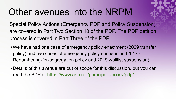#### Other avenues into the NRPM



- We have had one case of emergency policy enactment (2009 transfer policy) and two cases of emergency policy suspension (2017? Renumbering-for-aggregation policy and 2019 waitlist suspension)
- Details of this avenue are out of scope for this discussion, but you can read the PDP at <https://www.arin.net/participate/policy/pdp/>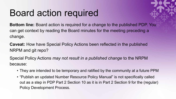#### Board action required



**Bottom line:** Board action is required for a change to the published PDP. You can get context by reading the Board minutes for the meeting preceding a change.

**Caveat:** How have Special Policy Actions been reflected in the published NRPM and git repo?

Special Policy Actions *may not result in a published change* to the NRPM because:

- They are intended to be temporary and ratified by the community at a future PPM
- "Publish an updated Number Resource Policy Manual" is not specifically called out as a step in PDP Part 2 Section 10 as it is in Part 2 Section 9 for the (regular) Policy Development Process.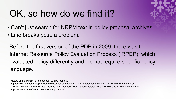#### OK, so how do we find it?

- Can't just search for NRPM text in policy proposal archives.
- Line breaks pose a problem.

Before the first version of the PDP in 2009, there was the Internet Resource Policy Evaluation Process (IRPEP), which evaluated policy differently and did not require specific policy language.

History of the IRPEP, for the curious, can be found at:

[https://www.arin.net/vault/participate/meetings/reports/ARIN\\_XXII/PDF/tuesday/einar\\_O PH\\_IRPEP\\_History\\_LA.pdf](https://www.arin.net/vault/participate/meetings/reports/ARIN_XXII/PDF/tuesday/einar_O%20PH_IRPEP_History_LA.pdf) The first version of the PDP was published on 7 January 2009. Various versions of the IRPEP and PDP can be found at <https://www.arin.net/participate/policy/pdp/archive/>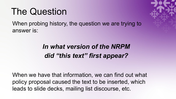#### The Question

When probing history, the question we are trying to answer is:

#### *In what version of the NRPM did "this text" first appear?*

When we have that information, we can find out what policy proposal caused the text to be inserted, which leads to slide decks, mailing list discourse, etc.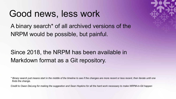#### Good news, less work

A binary search\* of all archived versions of the NRPM would be possible, but painful.

#### Since 2018, the NRPM has been available in Markdown format as a Git repository.

*\* Binary search just means start in the middle of the timeline to see if the changes are more recent or less recent, then iterate until one finds the change.*

*Credit to Owen DeLong for making the suggestion and Sean Hopkins for all the hard work necessary to make NRPM-in-Git happen*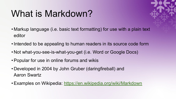### What is Markdown?

- 
- Markup language (i.e. basic text formatting) for use with a plain text editor
- •Intended to be appealing to human readers in its source code form
- Not what-you-see-is-what-you-get (i.e. Word or Google Docs)
- •Popular for use in online forums and wikis
- Developed in 2004 by John Gruber (daringfireball) and Aaron Swartz
- •Examples on Wikipedia: <https://en.wikipedia.org/wiki/Markdown>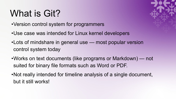## What is Git?

- •Version control system for programmers
- •Use case was intended for Linux kernel developers
- •Lots of mindshare in general use most popular version control system today
- •Works on text documents (like programs or Markdown) not suited for binary file formats such as Word or PDF.
- •Not really intended for timeline analysis of a single document, but it still works!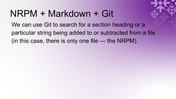#### NRPM + Markdown + Git

We can use Git to search for a section heading or a particular string being added to or subtracted from a file (in this case, there is only one file — the NRPM).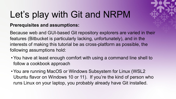# Let's play with Git and NRPM

#### **Prerequisites and assumptions:**

Because web and GUI-based Git repository explorers are varied in their features (Bitbucket is particularly lacking, unfortunately), and in the interests of making this tutorial be as cross-platform as possible, the following assumptions hold:

- •You have at least enough comfort with using a command line shell to follow a cookbook approach
- •You are running MacOS or Windows Subsystem for Linux (WSL2 Ubuntu flavor on Windows 10 or 11). If you're the kind of person who runs Linux on your laptop, you probably already have Git installed.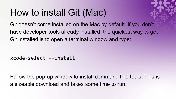#### How to install Git (Mac)

Git doesn't come installed on the Mac by default. If you don't have developer tools already installed, the quickest way to get Git installed is to open a terminal window and type:

xcode-select -–install

Follow the pop-up window to install command line tools. This is a sizeable download and takes some time to run.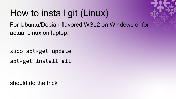# How to install git (Linux)

For Ubuntu/Debian-flavored WSL2 on Windows or for actual Linux on laptop:

sudo apt-get update apt-get install git

should do the trick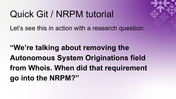#### Quick Git / NRPM tutorial

Let's see this in action with a research question:

**"We're talking about removing the Autonomous System Originations field from Whois. When did that requirement go into the NRPM?"**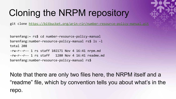## Cloning the NRPM repository

git clone <https://bitbucket.org/arin-rir/number-resource-policy-manual.git>

```
barenfang:~ rs$ cd number-resource-policy-manual
barenfang:number-resource-policy-manual rs$ ls –l
total 208
-rw-r--r-- 1 rs staff 102171 Nov 4 16:41 nrpm.md
-rw-r--r-- 1 rs staff 1280 Nov 4 16:41 readme.md
barenfang:number-resource-policy-manual rs$
```
Note that there are only two files here, the NRPM itself and a "readme" file, which by convention tells you about what's in the repo.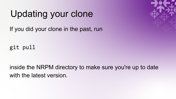#### Updating your clone

If you did your clone in the past, run

git pull

inside the NRPM directory to make sure you're up to date with the latest version.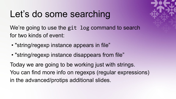#### Let's do some searching

We're going to use the git log command to search for two kinds of event:

- "string/regexp instance appears in file"
- "string/regexp instance disappears from file"

Today we are going to be working just with strings. You can find more info on regexps (regular expressions) in the advanced/protips additional slides.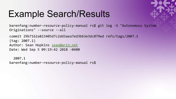#### Example Search/Results



barenfang:number-resource-policy-manual rs\$ git log -S "Autonomous System Originations" --source --all

commit 29b7162a823405d7c2dd3aea7ed3bb3e3dc079ed refs/tags/2007.1 (tag: 2007.1) Author: Sean Hopkins [sean@arin.net](mailto:sean@arin.net) Date: Wed Sep 5 09:19:42 2018 -0400

 2007.1 barenfang:number-resource-policy-manual rs\$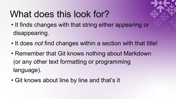#### What does this look for?

- It finds changes with that string either appearing or disappearing.
- It does *not* find changes within a section with that title!
- Remember that Git knows nothing about Markdown (or any other text formatting or programming language).
- Git knows about line by line and that's it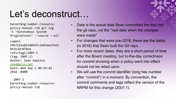#### Let's deconstruct…

barenfang:number-resourcepolicy-manual rs\$ git log -S "Autonomous System Originations" --source --all

commit 29b7162a823405d7c2dd3aea7ed3 bb3e3dc079ed refs/tags/2007.1 (tag: 2007.1) Author: Sean Hopkins [sean@arin.net](mailto:sean@arin.net) Date: Wed Sep 5 09:19:42 2018 -0400

 2007.1 barenfang:number-resourcepolicy-manual rs\$

- Date is the actual date Sean committed the text into the git repo, not the "real date when the changes were made"
- For changes that were pre-2018, these are the dates (in 2018) that Sean built the Git repo.
- For more recent dates, they are a short period of time after the Board meeting, but to-the-day correctness for commit showing when a policy went into effect should not be relied upon.
- We will use the commit identifier (long hex number after "commit") in a moment. By convention, the commit comments and tags reflect the version of the NRPM for this change (2007.1).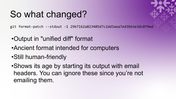#### So what changed?

git format-patch --stdout -1 29b7162a823405d7c2dd3aea7ed3bb3e3dc079ed

- •Output in "unified diff" format
- •Ancient format intended for computers
- •Still human-friendly

•Shows its age by starting its output with email headers. You can ignore these since you're not emailing them.

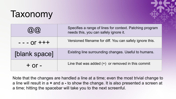#### Taxonomy



| (CI)             | Specifies a range of lines for context. Patching program<br>needs this, you can safely ignore it. |
|------------------|---------------------------------------------------------------------------------------------------|
| $- - - 0r + + +$ | Versioned filename for diff. You can safely ignore this.                                          |
| [blank space]    | Existing line surrounding changes. Useful to humans.                                              |
| $+$ Or $-$       | Line that was added $(+)$ or removed in this commit                                               |

Note that the changes are handled a line at a time; even the most trivial change to a line will result in a **+** and a **-** to show the change. It is also presented a screen at a time; hitting the spacebar will take you to the next screenful.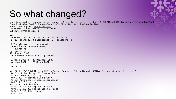#### So what changed?

barenfang:number-resource-policy-manual rs\$ git format-patch --stdout -1 29b7162a823405d7c2dd3aea7ed3bb3e3dc079ed From 29b7162a823405d7c2dd3aea7ed3bb3e3dc079ed Mon Sep 17 00:00:00 2001 From: Sean Hopkins [sean@arin.net](mailto:sean@arin.net) Date: Wed, 5 Sep 2018 09:19:42 -0400 Subject: [PATCH] 2007.1

-- nrpm.md | 40 +++++++++++++++++++++++++++++++++------- 1 file changed, 33 insertions(+), 7 deletions(-)

diff --git a/nrpm.md b/nrpm.md index 58bc5d8..01ee95a 100644 --- a/nrpm.md +++ b/nrpm.md  $@@ -1,6 +1,6 @@$ ARIN Number Resource Policy Manual

-Version 2006.3 - 20 December 2006 +Version 2007.1 - 28 March 2007

Abstract

@@ -22,6 +22,12 @@ This is ARIN's Number Resource Policy Manual (NRPM). It is available at: http:// ## 3.3. Privatizing POC Information ## 3.4. Routing Registry ### 3.4.1. Acceptable use policy +## 3.5 Autonomous System Originations +### 3.5.1 Collection +### 3.5.2 Publication +#### 3.5.2.1 Description of data +#### 3.5.2.2 Bulk publication of data +#### 3.5.2.3 Other formats # 4. IPv4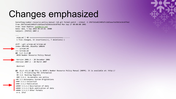#### Changes emphasized

barenfang:number-resource-policy-manual rs\$ git format-patch --stdout -1 29b7162a823405d7c2dd3aea7ed3bb3e3dc079ed From 29b7162a823405d7c2dd3aea7ed3bb3e3dc079ed Mon Sep 17 00:00:00 2001 From: Sean Hopkins [sean@arin.net](mailto:sean@arin.net) Date: Wed, 5 Sep 2018 09:19:42 -0400 Subject: [PATCH] 2007.1

-- nrpm.md | 40 +++++++++++++++++++++++++++++++++------- 1 file changed, 33 insertions(+), 7 deletions(-)

diff --git a/nrpm.md b/nrpm.md index 58bc5d8..01ee95a 100644 --- a/nrpm.md  $+++ b/n$ rpm.md  $@@ -1,6 +1,6 @@$ ARIN Number Resource Policy Manual

-Version 2006.3 - 20 December 2006 +Version 2007.1 - 28 March 2007

Abstract

@@ -22,6 +22,12 @@ This is ARIN's Number Resource Policy Manual (NRPM). It is available at: http:// ## 3.3. Privatizing POC Information ## 3.4. Routing Registry ### 3.4.1. Acceptable use policy +## 3.5 Autonomous System Originations +### 3.5.1 Collection +### 3.5.2 Publication +#### 3.5.2.1 Description of data +#### 3.5.2.2 Bulk publication of data +#### 3.5.2.3 Other formats # 4. IPv4

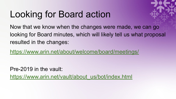## Looking for Board action



Now that we know when the changes were made, we can go looking for Board minutes, which will likely tell us what proposal resulted in the changes:

<https://www.arin.net/about/welcome/board/meetings/>

Pre-2019 in the vault:

[https://www.arin.net/vault/about\\_us/bot/index.html](https://www.arin.net/vault/about_us/bot/index.html)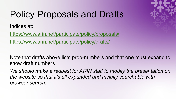## Policy Proposals and Drafts

Indices at:

<https://www.arin.net/participate/policy/proposals/> [https://www.arin.net/participate/policy/drafts/](https://www.arin.net/participate/policy/proposals/)

Note that drafts above lists prop-numbers and that one must expand to show draft numbers

*We should make a request for ARIN staff to modify the presentation on the website so that it's all expanded and trivially searchable with browser search.*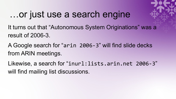#### …or just use a search engine

It turns out that "Autonomous System Originations" was a result of 2006-3.

A Google search for "arin 2006-3" will find slide decks from ARIN meetings.

Likewise, a search for "inurl:lists.arin.net 2006-3" will find mailing list discussions.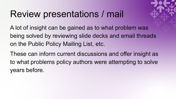#### Review presentations / mail

A lot of insight can be gained as to what problem was being solved by reviewing slide decks and email threads on the Public Policy Mailing List, etc.

These can inform current discussions and offer insight as to what problems policy authors were attempting to solve years before.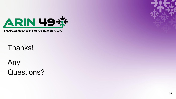

#### Thanks!

Any Questions?

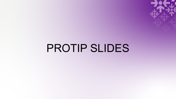PROTIP SLIDES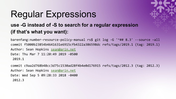#### Regular Expressions



#### **use -G instead of -S to search for a regular expression (if that's what you want):**

barenfang:number-resource-policy-manual rs\$ git log -G '^## 8.3' --source –all commit f5000b23854b4641631e6915cfb4322a386598dc refs/tags/2019.1 (tag: 2019.1) Author: Sean Hopkins [sean@arin.net](mailto:sean@arin.net) Date: Thu Mar 7 11:20:49 2019 -0500 2019.1

commit c9aa2d768b48cc3d75c1530ad28f4b4e0d176915 refs/tags/2012.3 (tag: 2012.3) Author: Sean Hopkins [sean@arin.net](mailto:sean@arin.net) Date: Wed Sep 5 09:28:33 2018 -0400 2012.3